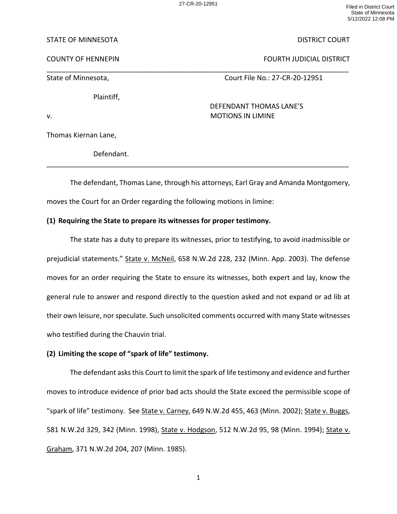\_\_\_\_\_\_\_\_\_\_\_\_\_\_\_\_\_\_\_\_\_\_\_\_\_\_\_\_\_\_\_\_\_\_\_\_\_\_\_\_\_\_\_\_\_\_\_\_\_\_\_\_\_\_\_\_\_\_\_\_\_\_\_\_\_\_\_\_\_\_\_\_\_\_\_\_\_\_

27-CR-20-12951 Filed in District Court State of Minnesota 5/12/2022 12:08 PM

### STATE OF MINNESOTA DISTRICT COURT

COUNTY OF HENNEPIN FOURTH JUDICIAL DISTRICT

Plaintiff,

State of Minnesota, The Court File No.: 27-CR-20-12951

DEFENDANT THOMAS LANE'S v. **MOTIONS IN LIMINE** 

Thomas Kiernan Lane,

Defendant.

The defendant, Thomas Lane, through his attorneys, Earl Gray and Amanda Montgomery, moves the Court for an Order regarding the following motions in limine:

\_\_\_\_\_\_\_\_\_\_\_\_\_\_\_\_\_\_\_\_\_\_\_\_\_\_\_\_\_\_\_\_\_\_\_\_\_\_\_\_\_\_\_\_\_\_\_\_\_\_\_\_\_\_\_\_\_\_\_\_\_\_\_\_\_\_\_\_\_\_\_\_\_\_\_\_\_\_

# **(1) Requiring the State to prepare its witnesses for proper testimony.**

The state has a duty to prepare its witnesses, prior to testifying, to avoid inadmissible or prejudicial statements." State v. McNeil, 658 N.W.2d 228, 232 (Minn. App. 2003). The defense moves for an order requiring the State to ensure its witnesses, both expert and lay, know the general rule to answer and respond directly to the question asked and not expand or ad lib at their own leisure, nor speculate. Such unsolicited comments occurred with many State witnesses who testified during the Chauvin trial.

# **(2) Limiting the scope of "spark of life" testimony.**

The defendant asks this Court to limit the spark of life testimony and evidence and further moves to introduce evidence of prior bad acts should the State exceed the permissible scope of "spark of life" testimony. See State v. Carney, 649 N.W.2d 455, 463 (Minn. 2002); State v. Buggs, 581 N.W.2d 329, 342 (Minn. 1998), State v. Hodgson, 512 N.W.2d 95, 98 (Minn. 1994); State v. Graham, 371 N.W.2d 204, 207 (Minn. 1985).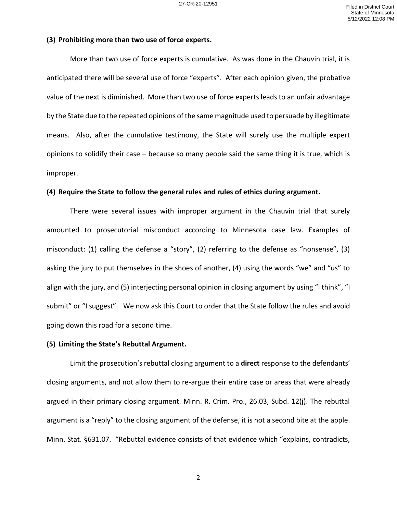### **(3) Prohibiting more than two use of force experts.**

More than two use of force experts is cumulative. As was done in the Chauvin trial, it is anticipated there will be several use of force "experts". After each opinion given, the probative value of the next is diminished. More than two use of force experts leads to an unfair advantage by the State due to the repeated opinions of the same magnitude used to persuade by illegitimate means. Also, after the cumulative testimony, the State will surely use the multiple expert opinions to solidify their case – because so many people said the same thing it is true, which is improper.

### **(4) Require the State to follow the general rules and rules of ethics during argument.**

There were several issues with improper argument in the Chauvin trial that surely amounted to prosecutorial misconduct according to Minnesota case law. Examples of misconduct: (1) calling the defense a "story", (2) referring to the defense as "nonsense", (3) asking the jury to put themselves in the shoes of another, (4) using the words "we" and "us" to align with the jury, and (5) interjecting personal opinion in closing argument by using "I think", "I submit" or "I suggest". We now ask this Court to order that the State follow the rules and avoid going down this road for a second time.

### **(5) Limiting the State's Rebuttal Argument.**

Limit the prosecution's rebuttal closing argument to a **direct** response to the defendants' closing arguments, and not allow them to re-argue their entire case or areas that were already argued in their primary closing argument. Minn. R. Crim. Pro., 26.03, Subd. 12(j). The rebuttal argument is a "reply" to the closing argument of the defense, it is not a second bite at the apple. Minn. Stat. §631.07. "Rebuttal evidence consists of that evidence which "explains, contradicts,

2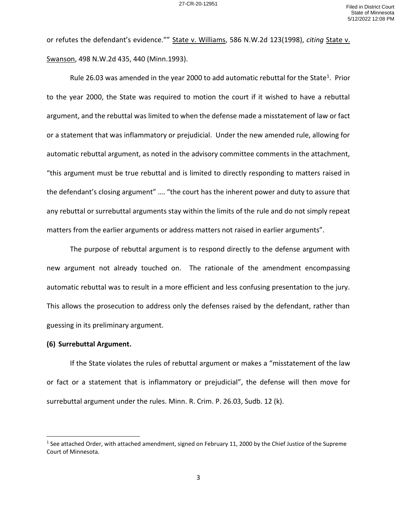or refutes the defendant's evidence."" State v. Williams, 586 N.W.2d 123(1998), *citing* State v. Swanson, 498 N.W.2d 435, 440 (Minn.1993).

Rule 26.03 was amended in the year 2000 to add automatic rebuttal for the State<sup>1</sup>. Prior to the year 2000, the State was required to motion the court if it wished to have a rebuttal argument, and the rebuttal was limited to when the defense made a misstatement of law or fact or a statement that was inflammatory or prejudicial. Under the new amended rule, allowing for automatic rebuttal argument, as noted in the advisory committee comments in the attachment, "this argument must be true rebuttal and is limited to directly responding to matters raised in the defendant's closing argument" …. "the court has the inherent power and duty to assure that any rebuttal or surrebuttal arguments stay within the limits of the rule and do not simply repeat matters from the earlier arguments or address matters not raised in earlier arguments".

The purpose of rebuttal argument is to respond directly to the defense argument with new argument not already touched on. The rationale of the amendment encompassing automatic rebuttal was to result in a more efficient and less confusing presentation to the jury. This allows the prosecution to address only the defenses raised by the defendant, rather than guessing in its preliminary argument.

### **(6) Surrebuttal Argument.**

If the State violates the rules of rebuttal argument or makes a "misstatement of the law or fact or a statement that is inflammatory or prejudicial", the defense will then move for surrebuttal argument under the rules. Minn. R. Crim. P. 26.03, Sudb. 12 (k).

<sup>&</sup>lt;sup>1</sup> See attached Order, with attached amendment, signed on February 11, 2000 by the Chief Justice of the Supreme Court of Minnesota.